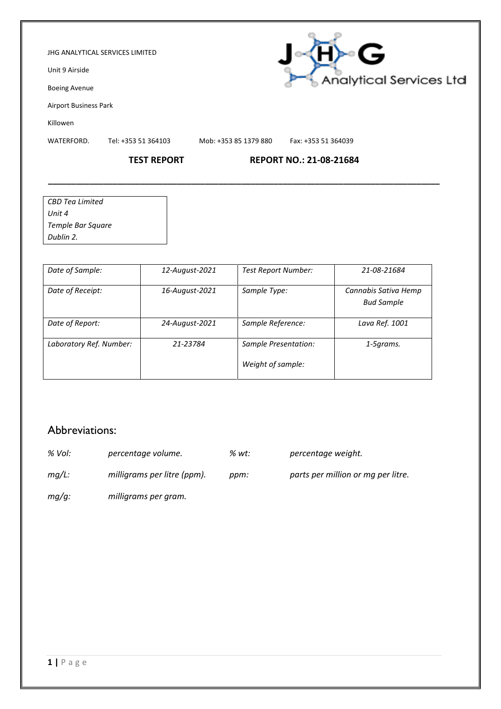### JHG ANALYTICAL SERVICES LIMITED

Unit 9 Airside

Boeing Avenue

Airport Business Park

Killowen

WATERFORD. Tel: +353 51 364103 Mob: +353 85 1379 880 Fax: +353 51 364039

## **TEST REPORT REPORT NO.: 21-08-21684**

| CBD Tea Limited   |
|-------------------|
| Unit 4            |
| Temple Bar Square |
| Dublin 2.         |

| Date of Sample:         | 12-August-2021 | <b>Test Report Number:</b>                | 21-08-21684                               |
|-------------------------|----------------|-------------------------------------------|-------------------------------------------|
| Date of Receipt:        | 16-August-2021 | Sample Type:                              | Cannabis Sativa Hemp<br><b>Bud Sample</b> |
| Date of Report:         | 24-August-2021 | Sample Reference:                         | Lava Ref. 1001                            |
| Laboratory Ref. Number: | 21-23784       | Sample Presentation:<br>Weight of sample: | 1-5grams.                                 |

**\_\_\_\_\_\_\_\_\_\_\_\_\_\_\_\_\_\_\_\_\_\_\_\_\_\_\_\_\_\_\_\_\_\_\_\_\_\_\_\_\_\_\_\_\_\_\_\_\_\_\_\_\_\_\_\_\_\_\_\_\_\_\_\_\_\_\_\_\_\_\_\_\_\_\_\_\_\_\_\_\_\_\_\_\_**

## Abbreviations:

| % Vol:   | percentage volume.          | % wt: | percentage weight.                 |
|----------|-----------------------------|-------|------------------------------------|
| $mq/L$ : | milligrams per litre (ppm). | ppm:  | parts per million or mg per litre. |
| $mg/g$ : | milligrams per gram.        |       |                                    |